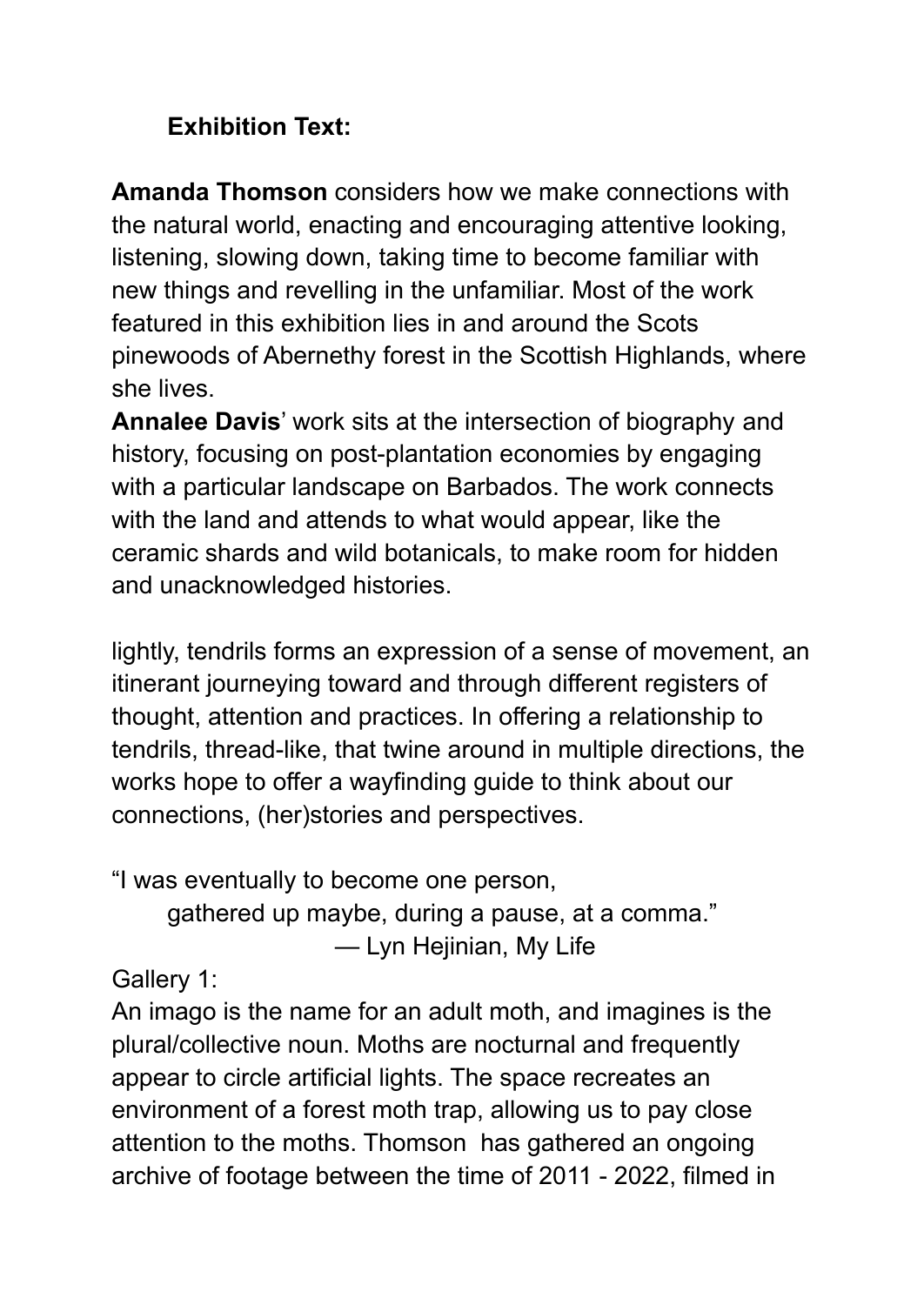## **Exhibition Text:**

**Amanda Thomson** considers how we make connections with the natural world, enacting and encouraging attentive looking, listening, slowing down, taking time to become familiar with new things and revelling in the unfamiliar. Most of the work featured in this exhibition lies in and around the Scots pinewoods of Abernethy forest in the Scottish Highlands, where she lives.

**Annalee Davis**' work sits at the intersection of biography and history, focusing on post-plantation economies by engaging with a particular landscape on Barbados. The work connects with the land and attends to what would appear, like the ceramic shards and wild botanicals, to make room for hidden and unacknowledged histories.

lightly, tendrils forms an expression of a sense of movement, an itinerant journeying toward and through different registers of thought, attention and practices. In offering a relationship to tendrils, thread-like, that twine around in multiple directions, the works hope to offer a wayfinding guide to think about our connections, (her)stories and perspectives.

"I was eventually to become one person, gathered up maybe, during a pause, at a comma." — Lyn Hejinian, My Life

Gallery 1:

An imago is the name for an adult moth, and imagines is the plural/collective noun. Moths are nocturnal and frequently appear to circle artificial lights. The space recreates an environment of a forest moth trap, allowing us to pay close attention to the moths. Thomson has gathered an ongoing archive of footage between the time of 2011 - 2022, filmed in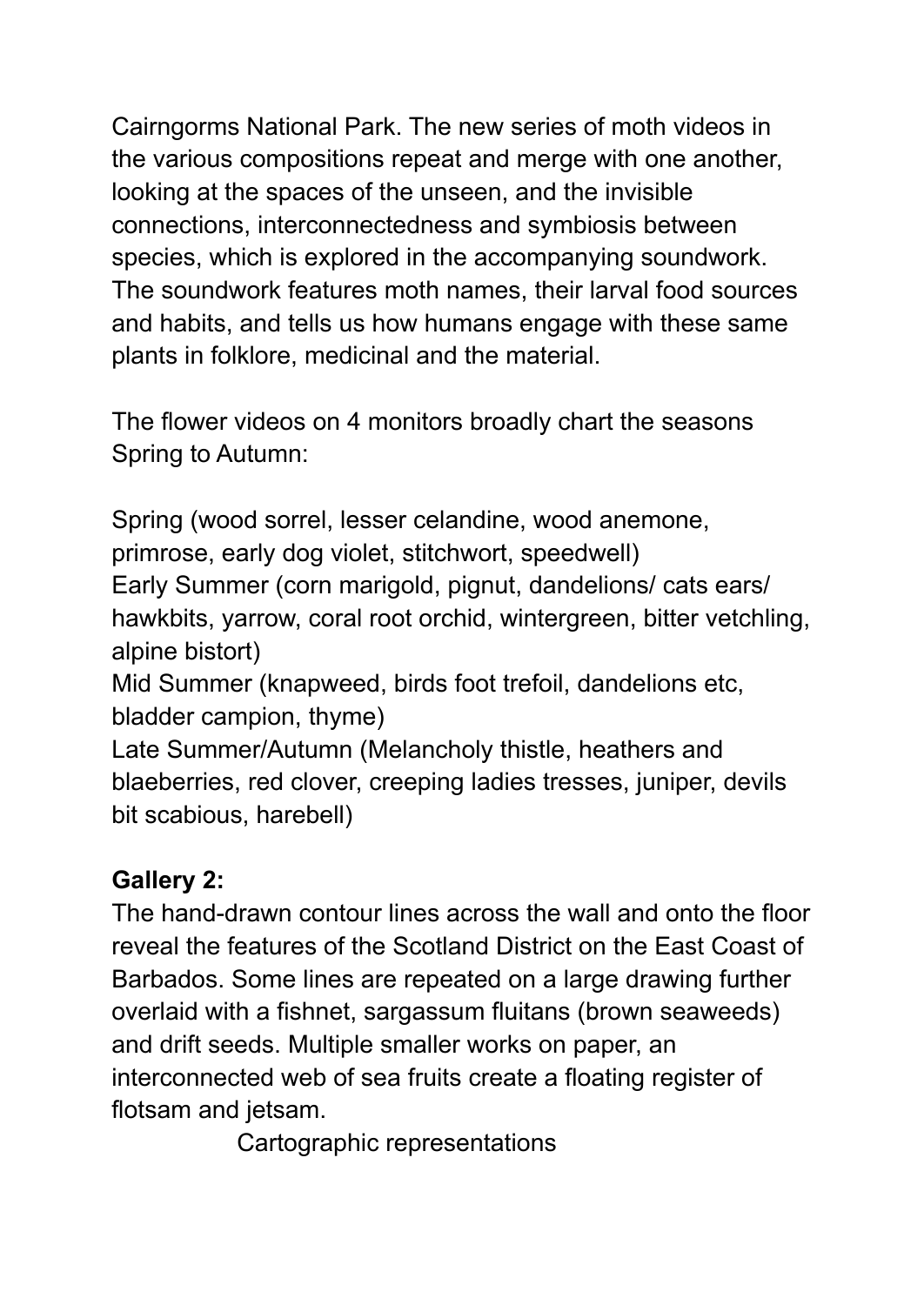Cairngorms National Park. The new series of moth videos in the various compositions repeat and merge with one another, looking at the spaces of the unseen, and the invisible connections, interconnectedness and symbiosis between species, which is explored in the accompanying soundwork. The soundwork features moth names, their larval food sources and habits, and tells us how humans engage with these same plants in folklore, medicinal and the material.

The flower videos on 4 monitors broadly chart the seasons Spring to Autumn:

Spring (wood sorrel, lesser celandine, wood anemone, primrose, early dog violet, stitchwort, speedwell) Early Summer (corn marigold, pignut, dandelions/ cats ears/ hawkbits, yarrow, coral root orchid, wintergreen, bitter vetchling, alpine bistort) Mid Summer (knapweed, birds foot trefoil, dandelions etc,

bladder campion, thyme)

Late Summer/Autumn (Melancholy thistle, heathers and blaeberries, red clover, creeping ladies tresses, juniper, devils bit scabious, harebell)

# **Gallery 2:**

The hand-drawn contour lines across the wall and onto the floor reveal the features of the Scotland District on the East Coast of Barbados. Some lines are repeated on a large drawing further overlaid with a fishnet, sargassum fluitans (brown seaweeds) and drift seeds. Multiple smaller works on paper, an interconnected web of sea fruits create a floating register of flotsam and jetsam.

Cartographic representations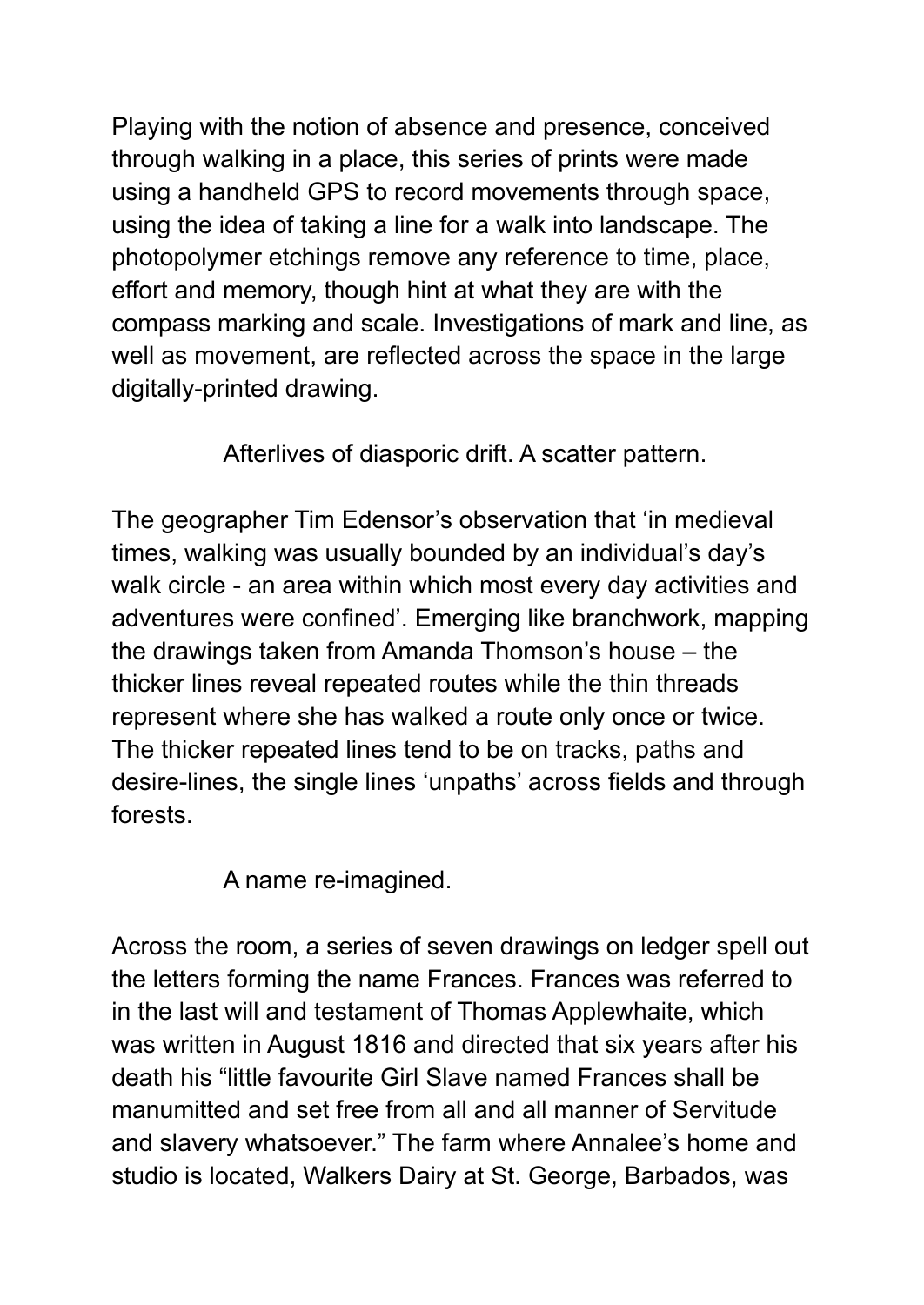Playing with the notion of absence and presence, conceived through walking in a place, this series of prints were made using a handheld GPS to record movements through space, using the idea of taking a line for a walk into landscape. The photopolymer etchings remove any reference to time, place, effort and memory, though hint at what they are with the compass marking and scale. Investigations of mark and line, as well as movement, are reflected across the space in the large digitally-printed drawing.

Afterlives of diasporic drift. A scatter pattern.

The geographer Tim Edensor's observation that 'in medieval times, walking was usually bounded by an individual's day's walk circle - an area within which most every day activities and adventures were confined'. Emerging like branchwork, mapping the drawings taken from Amanda Thomson's house – the thicker lines reveal repeated routes while the thin threads represent where she has walked a route only once or twice. The thicker repeated lines tend to be on tracks, paths and desire-lines, the single lines 'unpaths' across fields and through forests.

A name re-imagined.

Across the room, a series of seven drawings on ledger spell out the letters forming the name Frances. Frances was referred to in the last will and testament of Thomas Applewhaite, which was written in August 1816 and directed that six years after his death his "little favourite Girl Slave named Frances shall be manumitted and set free from all and all manner of Servitude and slavery whatsoever." The farm where Annalee's home and studio is located, Walkers Dairy at St. George, Barbados, was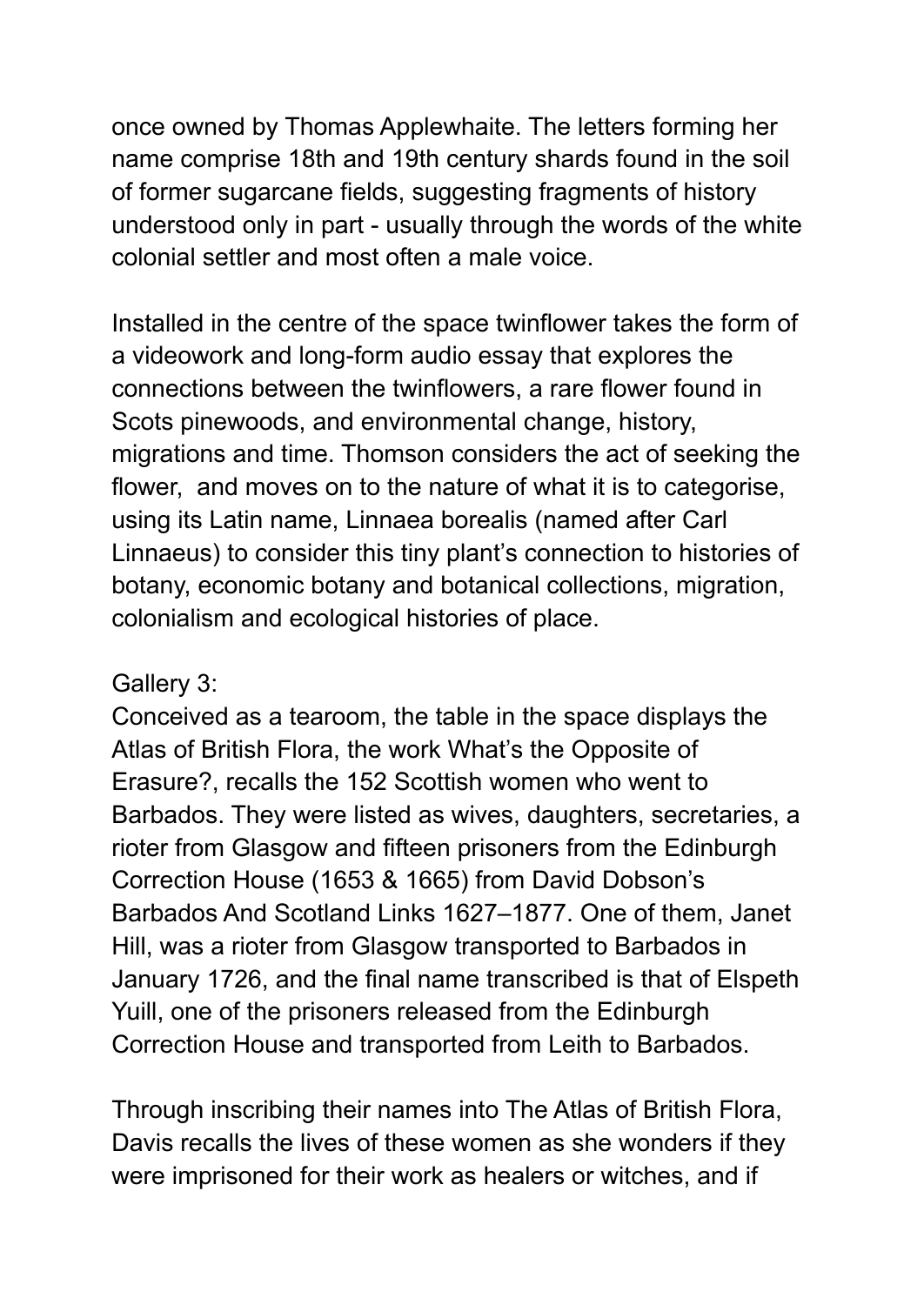once owned by Thomas Applewhaite. The letters forming her name comprise 18th and 19th century shards found in the soil of former sugarcane fields, suggesting fragments of history understood only in part - usually through the words of the white colonial settler and most often a male voice.

Installed in the centre of the space twinflower takes the form of a videowork and long-form audio essay that explores the connections between the twinflowers, a rare flower found in Scots pinewoods, and environmental change, history, migrations and time. Thomson considers the act of seeking the flower, and moves on to the nature of what it is to categorise, using its Latin name, Linnaea borealis (named after Carl Linnaeus) to consider this tiny plant's connection to histories of botany, economic botany and botanical collections, migration, colonialism and ecological histories of place.

### Gallery 3:

Conceived as a tearoom, the table in the space displays the Atlas of British Flora, the work What's the Opposite of Erasure?, recalls the 152 Scottish women who went to Barbados. They were listed as wives, daughters, secretaries, a rioter from Glasgow and fifteen prisoners from the Edinburgh Correction House (1653 & 1665) from David Dobson's Barbados And Scotland Links 1627–1877. One of them, Janet Hill, was a rioter from Glasgow transported to Barbados in January 1726, and the final name transcribed is that of Elspeth Yuill, one of the prisoners released from the Edinburgh Correction House and transported from Leith to Barbados.

Through inscribing their names into The Atlas of British Flora, Davis recalls the lives of these women as she wonders if they were imprisoned for their work as healers or witches, and if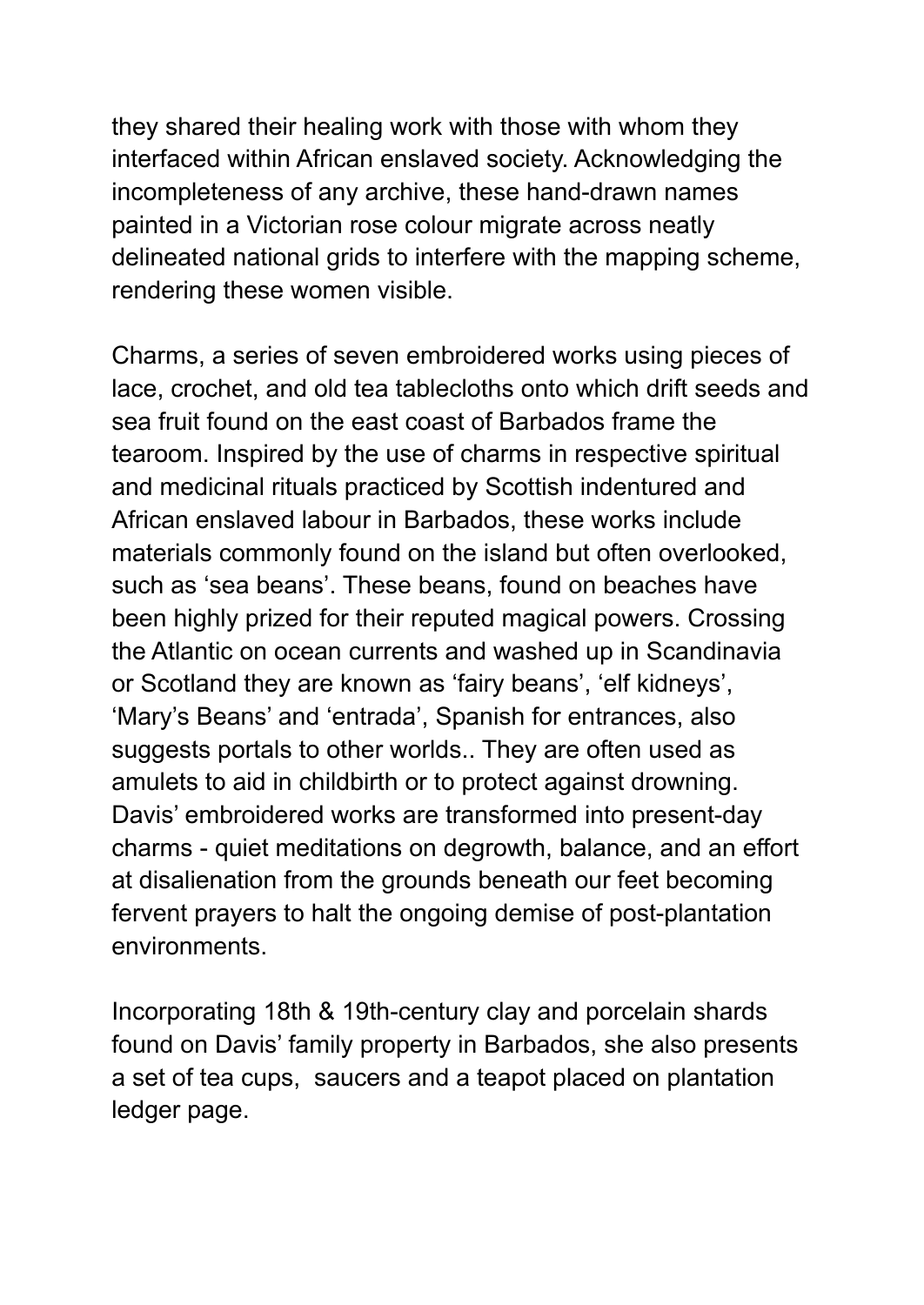they shared their healing work with those with whom they interfaced within African enslaved society. Acknowledging the incompleteness of any archive, these hand-drawn names painted in a Victorian rose colour migrate across neatly delineated national grids to interfere with the mapping scheme, rendering these women visible.

Charms, a series of seven embroidered works using pieces of lace, crochet, and old tea tablecloths onto which drift seeds and sea fruit found on the east coast of Barbados frame the tearoom. Inspired by the use of charms in respective spiritual and medicinal rituals practiced by Scottish indentured and African enslaved labour in Barbados, these works include materials commonly found on the island but often overlooked, such as 'sea beans'. These beans, found on beaches have been highly prized for their reputed magical powers. Crossing the Atlantic on ocean currents and washed up in Scandinavia or Scotland they are known as 'fairy beans', 'elf kidneys', 'Mary's Beans' and 'entrada', Spanish for entrances, also suggests portals to other worlds.. They are often used as amulets to aid in childbirth or to protect against drowning. Davis' embroidered works are transformed into present-day charms - quiet meditations on degrowth, balance, and an effort at disalienation from the grounds beneath our feet becoming fervent prayers to halt the ongoing demise of post-plantation environments.

Incorporating 18th & 19th-century clay and porcelain shards found on Davis' family property in Barbados, she also presents a set of tea cups, saucers and a teapot placed on plantation ledger page.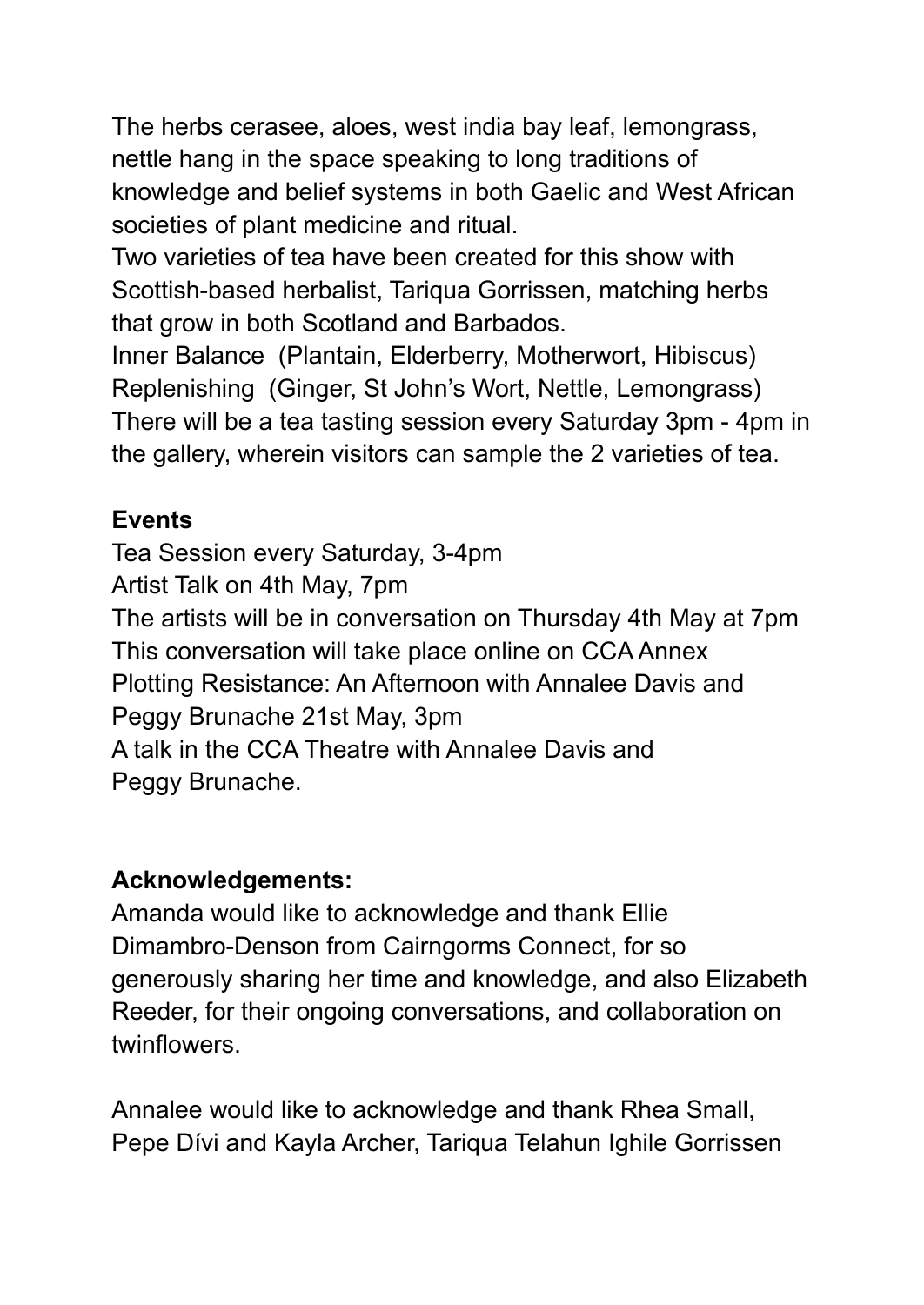The herbs cerasee, aloes, west india bay leaf, lemongrass, nettle hang in the space speaking to long traditions of knowledge and belief systems in both Gaelic and West African societies of plant medicine and ritual.

Two varieties of tea have been created for this show with Scottish-based herbalist, Tariqua Gorrissen, matching herbs that grow in both Scotland and Barbados.

Inner Balance (Plantain, Elderberry, Motherwort, Hibiscus) Replenishing (Ginger, St John's Wort, Nettle, Lemongrass) There will be a tea tasting session every Saturday 3pm - 4pm in the gallery, wherein visitors can sample the 2 varieties of tea.

## **Events**

Tea Session every Saturday, 3-4pm Artist Talk on 4th May, 7pm The artists will be in conversation on Thursday 4th May at 7pm This conversation will take place online on CCA Annex Plotting Resistance: An Afternoon with Annalee Davis and Peggy Brunache 21st May, 3pm A talk in the CCA Theatre with Annalee Davis and Peggy Brunache.

# **Acknowledgements:**

Amanda would like to acknowledge and thank Ellie Dimambro-Denson from Cairngorms Connect, for so generously sharing her time and knowledge, and also Elizabeth Reeder, for their ongoing conversations, and collaboration on twinflowers.

Annalee would like to acknowledge and thank Rhea Small, Pepe Dívi and Kayla Archer, Tariqua Telahun Ighile Gorrissen